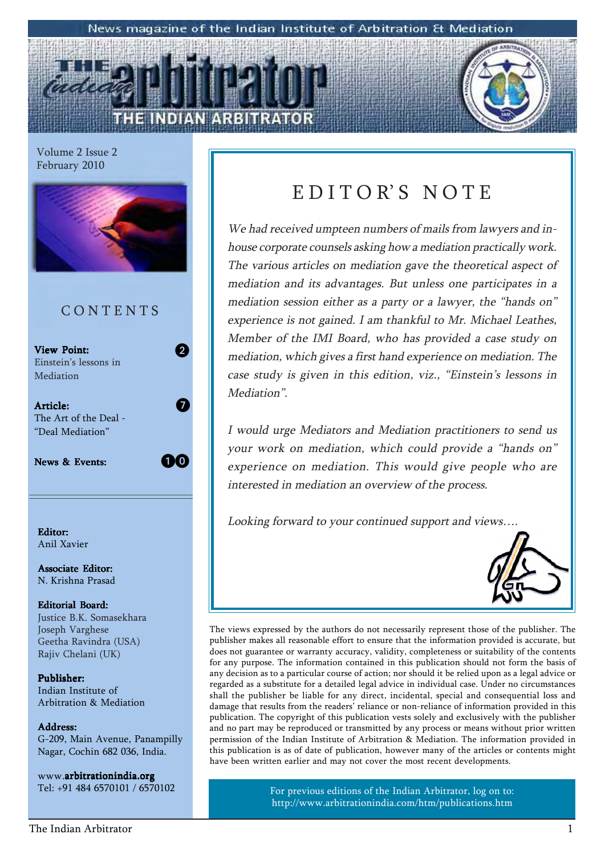#### News magazine of the Indian Institute of Arbitration & Mediation

Volume 2 Issue 2 February 2010



#### **CONTENTS**

View Point: Einstein's lessons in **Mediation** 

Article: The Art of the Deal - "Deal Mediation"

News & Events:

10

0

7

Editor: Anil Xavier

Associate Editor: N. Krishna Prasad

Editorial Board: Justice B.K. Somasekhara Joseph Varghese Geetha Ravindra (USA) Rajiv Chelani (UK)

Publisher: Indian Institute of Arbitration & Mediation

Address: Address: G-209, Main Avenue, Panampilly Nagar, Cochin 682 036, India.

www.arbitrationindia.org Tel: +91 484 6570101 / 6570102

## EDITOR'S NOTE

We had received umpteen numbers of mails from lawyers and inhouse corporate counsels asking how a mediation practically work. The various articles on mediation gave the theoretical aspect of mediation and its advantages. But unless one participates in a mediation session either as a party or a lawyer, the "hands on" experience is not gained. I am thankful to Mr. Michael Leathes, Member of the IMI Board, who has provided a case study on mediation, which gives a first hand experience on mediation. The case study is given in this edition, viz., "Einstein's lessons in Mediation".

I would urge Mediators and Mediation practitioners to send us your work on mediation, which could provide a "hands on" experience on mediation. This would give people who are interested in mediation an overview of the process.

Looking forward to your continued support and views....



The views expressed by the authors do not necessarily represent those of the publisher. The publisher makes all reasonable effort to ensure that the information provided is accurate, but does not guarantee or warranty accuracy, validity, completeness or suitability of the contents for any purpose. The information contained in this publication should not form the basis of any decision as to a particular course of action; nor should it be relied upon as a legal advice or regarded as a substitute for a detailed legal advice in individual case. Under no circumstances shall the publisher be liable for any direct, incidental, special and consequential loss and damage that results from the readers' reliance or non-reliance of information provided in this publication. The copyright of this publication vests solely and exclusively with the publisher and no part may be reproduced or transmitted by any process or means without prior written permission of the Indian Institute of Arbitration & Mediation. The information provided in this publication is as of date of publication, however many of the articles or contents might have been written earlier and may not cover the most recent developments.

> For previous editions of the Indian Arbitrator, log on to: http://www.arbitrationindia.com/htm/publications.htm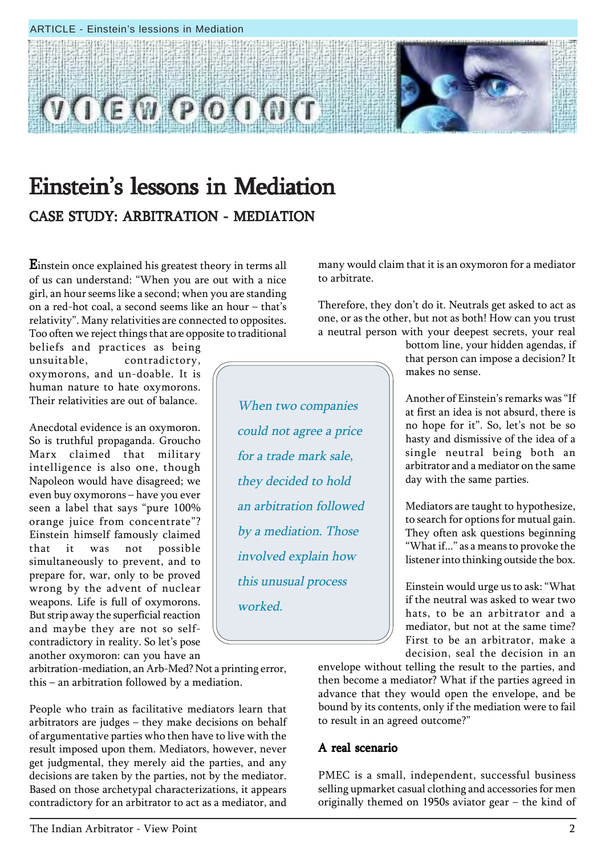#### ARTICLE - Einstein's lessions in Mediation



When two companies

could not agree a price

for a trade mark sale,

they decided to hold

an arbitration followed

by a mediation. Those

involved explain how

this unusual process

worked.

## Einstein's lessons in Mediation CASE STUDY: ARBITRATION - MEDIATION

**Einstein once explained his greatest theory in terms all** of us can understand: "When you are out with a nice girl, an hour seems like a second; when you are standing on a red-hot coal, a second seems like an hour  $-$  that's relativity". Many relativities are connected to opposites. Too often we reject things that are opposite to traditional

beliefs and practices as being unsuitable, contradictory, oxymorons, and un-doable. It is human nature to hate oxymorons. Their relativities are out of balance.

Anecdotal evidence is an oxymoron. So is truthful propaganda. Groucho Marx claimed that military intelligence is also one, though Napoleon would have disagreed; we even buy oxymorons - have you ever seen a label that says "pure 100% orange juice from concentrate"? Einstein himself famously claimed that it was not possible simultaneously to prevent, and to prepare for, war, only to be proved wrong by the advent of nuclear weapons. Life is full of oxymorons. But strip away the superficial reaction and maybe they are not so selfcontradictory in reality. So let's pose another oxymoron: can you have an

arbitration-mediation, an Arb-Med? Not a printing error, this  $-$  an arbitration followed by a mediation.

People who train as facilitative mediators learn that arbitrators are judges  $-$  they make decisions on behalf of argumentative parties who then have to live with the result imposed upon them. Mediators, however, never get judgmental, they merely aid the parties, and any decisions are taken by the parties, not by the mediator. Based on those archetypal characterizations, it appears contradictory for an arbitrator to act as a mediator, and

many would claim that it is an oxymoron for a mediator to arbitrate.

Therefore, they don't do it. Neutrals get asked to act as one, or as the other, but not as both! How can you trust a neutral person with your deepest secrets, your real

> bottom line, your hidden agendas, if that person can impose a decision? It makes no sense.

Another of Einstein's remarks was "If at first an idea is not absurd, there is no hope for it". So, let's not be so hasty and dismissive of the idea of a single neutral being both an arbitrator and a mediator on the same day with the same parties.

Mediators are taught to hypothesize, to search for options for mutual gain. They often ask questions beginning ìWhat if...î as a means to provoke the listener into thinking outside the box.

Einstein would urge us to ask: "What if the neutral was asked to wear two hats, to be an arbitrator and a mediator, but not at the same time? First to be an arbitrator, make a decision, seal the decision in an

envelope without telling the result to the parties, and then become a mediator? What if the parties agreed in advance that they would open the envelope, and be bound by its contents, only if the mediation were to fail to result in an agreed outcome?"

#### A real scenario

PMEC is a small, independent, successful business selling upmarket casual clothing and accessories for men originally themed on 1950s aviator gear  $-$  the kind of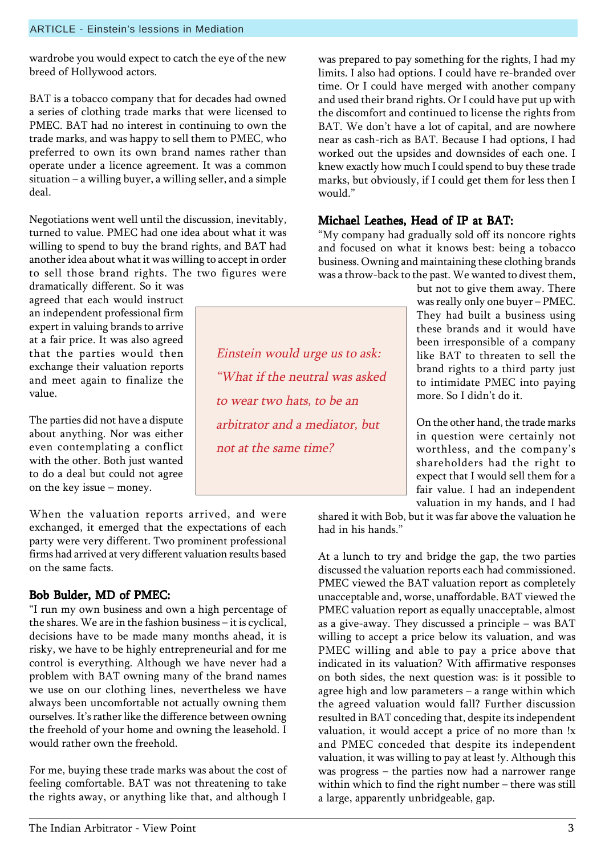ARTICLE - Einstein's lessions in Mediation

wardrobe you would expect to catch the eye of the new breed of Hollywood actors.

BAT is a tobacco company that for decades had owned a series of clothing trade marks that were licensed to PMEC. BAT had no interest in continuing to own the trade marks, and was happy to sell them to PMEC, who preferred to own its own brand names rather than operate under a licence agreement. It was a common  $s$ ituation – a willing buyer, a willing seller, and a simple deal.

Negotiations went well until the discussion, inevitably, turned to value. PMEC had one idea about what it was willing to spend to buy the brand rights, and BAT had another idea about what it was willing to accept in order to sell those brand rights. The two figures were

dramatically different. So it was agreed that each would instruct an independent professional firm expert in valuing brands to arrive at a fair price. It was also agreed that the parties would then exchange their valuation reports and meet again to finalize the value.

The parties did not have a dispute about anything. Nor was either even contemplating a conflict with the other. Both just wanted to do a deal but could not agree on the key issue  $-$  money.

When the valuation reports arrived, and were exchanged, it emerged that the expectations of each party were very different. Two prominent professional firms had arrived at very different valuation results based on the same facts.

#### Bob Bulder, MD of PMEC:

ìI run my own business and own a high percentage of the shares. We are in the fashion business  $-$  it is cyclical, decisions have to be made many months ahead, it is risky, we have to be highly entrepreneurial and for me control is everything. Although we have never had a problem with BAT owning many of the brand names we use on our clothing lines, nevertheless we have always been uncomfortable not actually owning them ourselves. It's rather like the difference between owning the freehold of your home and owning the leasehold. I would rather own the freehold.

For me, buying these trade marks was about the cost of feeling comfortable. BAT was not threatening to take the rights away, or anything like that, and although I

Einstein would urge us to ask: "What if the neutral was asked to wear two hats, to be an arbitrator and a mediator, but not at the same time?

was prepared to pay something for the rights, I had my limits. I also had options. I could have re-branded over time. Or I could have merged with another company and used their brand rights. Or I could have put up with the discomfort and continued to license the rights from BAT. We don't have a lot of capital, and are nowhere near as cash-rich as BAT. Because I had options, I had worked out the upsides and downsides of each one. I knew exactly how much I could spend to buy these trade marks, but obviously, if I could get them for less then I would."

#### Michael Leathes, Head of IP at BAT:

ìMy company had gradually sold off its noncore rights and focused on what it knows best: being a tobacco business. Owning and maintaining these clothing brands was a throw-back to the past. We wanted to divest them,

> but not to give them away. There was really only one buyer - PMEC. They had built a business using these brands and it would have been irresponsible of a company like BAT to threaten to sell the brand rights to a third party just to intimidate PMEC into paying more. So I didn't do it.

> On the other hand, the trade marks in question were certainly not worthless, and the company's shareholders had the right to expect that I would sell them for a fair value. I had an independent valuation in my hands, and I had

shared it with Bob, but it was far above the valuation he had in his hands.'

At a lunch to try and bridge the gap, the two parties discussed the valuation reports each had commissioned. PMEC viewed the BAT valuation report as completely unacceptable and, worse, unaffordable. BAT viewed the PMEC valuation report as equally unacceptable, almost as a give-away. They discussed a principle  $-$  was BAT willing to accept a price below its valuation, and was PMEC willing and able to pay a price above that indicated in its valuation? With affirmative responses on both sides, the next question was: is it possible to agree high and low parameters  $-$  a range within which the agreed valuation would fall? Further discussion resulted in BAT conceding that, despite its independent valuation, it would accept a price of no more than !x and PMEC conceded that despite its independent valuation, it was willing to pay at least !y. Although this was progress  $-$  the parties now had a narrower range within which to find the right number - there was still a large, apparently unbridgeable, gap.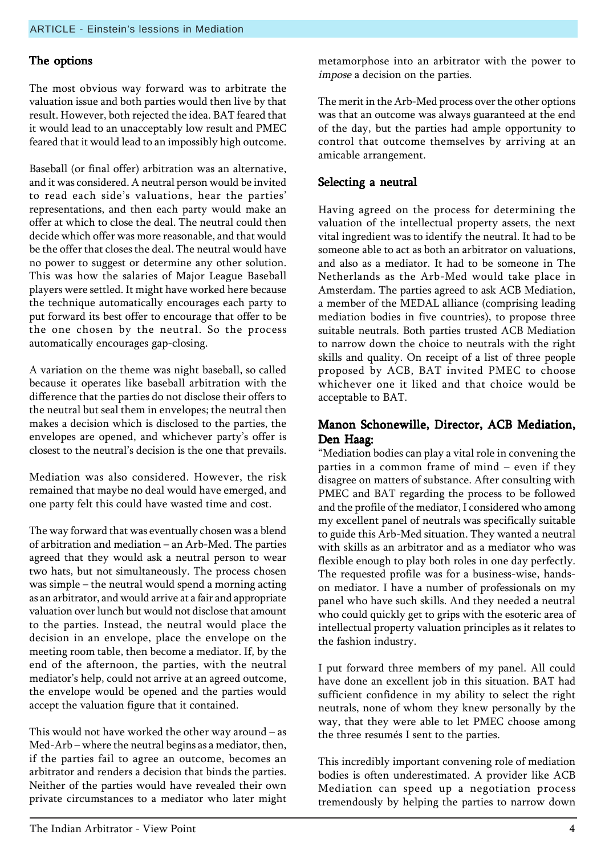#### The options

The most obvious way forward was to arbitrate the valuation issue and both parties would then live by that result. However, both rejected the idea. BAT feared that it would lead to an unacceptably low result and PMEC feared that it would lead to an impossibly high outcome.

Baseball (or final offer) arbitration was an alternative, and it was considered. A neutral person would be invited to read each side's valuations, hear the parties' representations, and then each party would make an offer at which to close the deal. The neutral could then decide which offer was more reasonable, and that would be the offer that closes the deal. The neutral would have no power to suggest or determine any other solution. This was how the salaries of Major League Baseball players were settled. It might have worked here because the technique automatically encourages each party to put forward its best offer to encourage that offer to be the one chosen by the neutral. So the process automatically encourages gap-closing.

A variation on the theme was night baseball, so called because it operates like baseball arbitration with the difference that the parties do not disclose their offers to the neutral but seal them in envelopes; the neutral then makes a decision which is disclosed to the parties, the envelopes are opened, and whichever party's offer is closest to the neutral's decision is the one that prevails.

Mediation was also considered. However, the risk remained that maybe no deal would have emerged, and one party felt this could have wasted time and cost.

The way forward that was eventually chosen was a blend of arbitration and mediation  $-$  an Arb-Med. The parties agreed that they would ask a neutral person to wear two hats, but not simultaneously. The process chosen was simple  $-$  the neutral would spend a morning acting as an arbitrator, and would arrive at a fair and appropriate valuation over lunch but would not disclose that amount to the parties. Instead, the neutral would place the decision in an envelope, place the envelope on the meeting room table, then become a mediator. If, by the end of the afternoon, the parties, with the neutral mediator's help, could not arrive at an agreed outcome, the envelope would be opened and the parties would accept the valuation figure that it contained.

This would not have worked the other way around  $-$  as Med-Arb – where the neutral begins as a mediator, then, if the parties fail to agree an outcome, becomes an arbitrator and renders a decision that binds the parties. Neither of the parties would have revealed their own private circumstances to a mediator who later might metamorphose into an arbitrator with the power to impose a decision on the parties.

The merit in the Arb-Med process over the other options was that an outcome was always guaranteed at the end of the day, but the parties had ample opportunity to control that outcome themselves by arriving at an amicable arrangement.

#### Selecting a neutral

Having agreed on the process for determining the valuation of the intellectual property assets, the next vital ingredient was to identify the neutral. It had to be someone able to act as both an arbitrator on valuations, and also as a mediator. It had to be someone in The Netherlands as the Arb-Med would take place in Amsterdam. The parties agreed to ask ACB Mediation, a member of the MEDAL alliance (comprising leading mediation bodies in five countries), to propose three suitable neutrals. Both parties trusted ACB Mediation to narrow down the choice to neutrals with the right skills and quality. On receipt of a list of three people proposed by ACB, BAT invited PMEC to choose whichever one it liked and that choice would be acceptable to BAT.

#### Manon Schonewille, Director, ACB Mediation, Den Haag:

"Mediation bodies can play a vital role in convening the parties in a common frame of mind  $-$  even if they disagree on matters of substance. After consulting with PMEC and BAT regarding the process to be followed and the profile of the mediator, I considered who among my excellent panel of neutrals was specifically suitable to guide this Arb-Med situation. They wanted a neutral with skills as an arbitrator and as a mediator who was flexible enough to play both roles in one day perfectly. The requested profile was for a business-wise, handson mediator. I have a number of professionals on my panel who have such skills. And they needed a neutral who could quickly get to grips with the esoteric area of intellectual property valuation principles as it relates to the fashion industry.

I put forward three members of my panel. All could have done an excellent job in this situation. BAT had sufficient confidence in my ability to select the right neutrals, none of whom they knew personally by the way, that they were able to let PMEC choose among the three resumés I sent to the parties.

This incredibly important convening role of mediation bodies is often underestimated. A provider like ACB Mediation can speed up a negotiation process tremendously by helping the parties to narrow down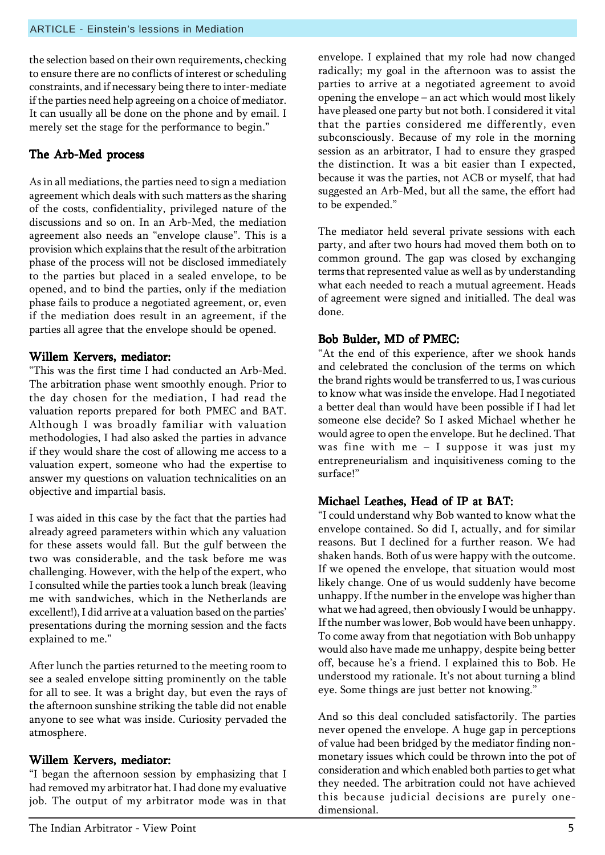the selection based on their own requirements, checking to ensure there are no conflicts of interest or scheduling constraints, and if necessary being there to inter-mediate if the parties need help agreeing on a choice of mediator. It can usually all be done on the phone and by email. I merely set the stage for the performance to begin."

#### The Arb-Med process

As in all mediations, the parties need to sign a mediation agreement which deals with such matters as the sharing of the costs, confidentiality, privileged nature of the discussions and so on. In an Arb-Med, the mediation agreement also needs an "envelope clause". This is a provision which explains that the result of the arbitration phase of the process will not be disclosed immediately to the parties but placed in a sealed envelope, to be opened, and to bind the parties, only if the mediation phase fails to produce a negotiated agreement, or, even if the mediation does result in an agreement, if the parties all agree that the envelope should be opened.

#### Willem Kervers, mediator:

ìThis was the first time I had conducted an Arb-Med. The arbitration phase went smoothly enough. Prior to the day chosen for the mediation, I had read the valuation reports prepared for both PMEC and BAT. Although I was broadly familiar with valuation methodologies, I had also asked the parties in advance if they would share the cost of allowing me access to a valuation expert, someone who had the expertise to answer my questions on valuation technicalities on an objective and impartial basis.

I was aided in this case by the fact that the parties had already agreed parameters within which any valuation for these assets would fall. But the gulf between the two was considerable, and the task before me was challenging. However, with the help of the expert, who I consulted while the parties took a lunch break (leaving me with sandwiches, which in the Netherlands are excellent!), I did arrive at a valuation based on the parties' presentations during the morning session and the facts explained to me."

After lunch the parties returned to the meeting room to see a sealed envelope sitting prominently on the table for all to see. It was a bright day, but even the rays of the afternoon sunshine striking the table did not enable anyone to see what was inside. Curiosity pervaded the atmosphere.

#### Willem Kervers, mediator:

ìI began the afternoon session by emphasizing that I had removed my arbitrator hat. I had done my evaluative job. The output of my arbitrator mode was in that

envelope. I explained that my role had now changed radically; my goal in the afternoon was to assist the parties to arrive at a negotiated agreement to avoid opening the envelope  $-$  an act which would most likely have pleased one party but not both. I considered it vital that the parties considered me differently, even subconsciously. Because of my role in the morning session as an arbitrator, I had to ensure they grasped the distinction. It was a bit easier than I expected, because it was the parties, not ACB or myself, that had suggested an Arb-Med, but all the same, the effort had to be expended."

The mediator held several private sessions with each party, and after two hours had moved them both on to common ground. The gap was closed by exchanging terms that represented value as well as by understanding what each needed to reach a mutual agreement. Heads of agreement were signed and initialled. The deal was done.

#### Bob Bulder, MD of PMEC:

"At the end of this experience, after we shook hands and celebrated the conclusion of the terms on which the brand rights would be transferred to us, I was curious to know what was inside the envelope. Had I negotiated a better deal than would have been possible if I had let someone else decide? So I asked Michael whether he would agree to open the envelope. But he declined. That was fine with me  $-$  I suppose it was just my entrepreneurialism and inquisitiveness coming to the surface!"

#### Michael Leathes, Head of IP at BAT:

"I could understand why Bob wanted to know what the envelope contained. So did I, actually, and for similar reasons. But I declined for a further reason. We had shaken hands. Both of us were happy with the outcome. If we opened the envelope, that situation would most likely change. One of us would suddenly have become unhappy. If the number in the envelope was higher than what we had agreed, then obviously I would be unhappy. If the number was lower, Bob would have been unhappy. To come away from that negotiation with Bob unhappy would also have made me unhappy, despite being better off, because he's a friend. I explained this to Bob. He understood my rationale. It's not about turning a blind eye. Some things are just better not knowing."

And so this deal concluded satisfactorily. The parties never opened the envelope. A huge gap in perceptions of value had been bridged by the mediator finding nonmonetary issues which could be thrown into the pot of consideration and which enabled both parties to get what they needed. The arbitration could not have achieved this because judicial decisions are purely onedimensional.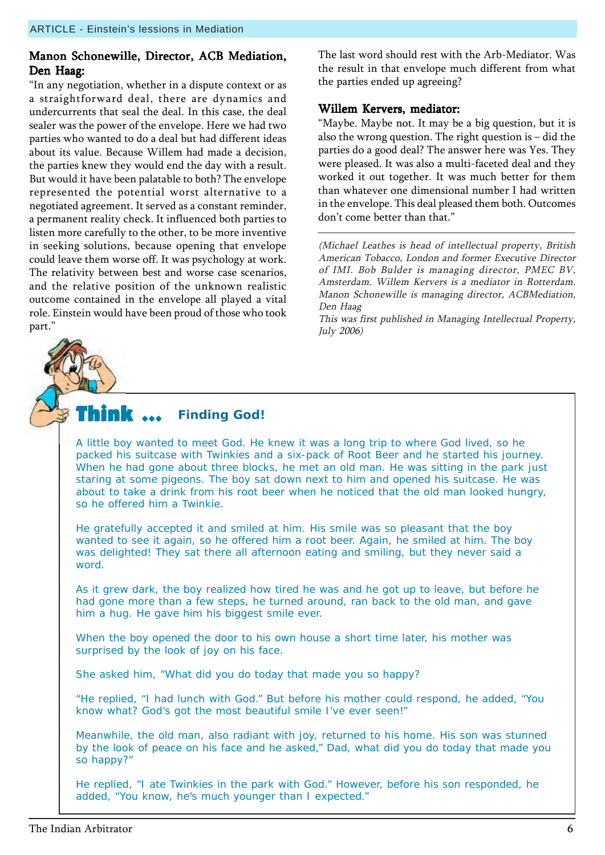#### Manon Schonewille, Director, ACB Mediation, Den Haag:

"In any negotiation, whether in a dispute context or as a straightforward deal, there are dynamics and undercurrents that seal the deal. In this case, the deal sealer was the power of the envelope. Here we had two parties who wanted to do a deal but had different ideas about its value. Because Willem had made a decision, the parties knew they would end the day with a result. But would it have been palatable to both? The envelope represented the potential worst alternative to a negotiated agreement. It served as a constant reminder, a permanent reality check. It influenced both parties to listen more carefully to the other, to be more inventive in seeking solutions, because opening that envelope could leave them worse off. It was psychology at work. The relativity between best and worse case scenarios, and the relative position of the unknown realistic outcome contained in the envelope all played a vital role. Einstein would have been proud of those who took part."

The last word should rest with the Arb-Mediator. Was the result in that envelope much different from what the parties ended up agreeing?

#### Willem Kervers, mediator:

"Maybe. Maybe not. It may be a big question, but it is also the wrong question. The right question is  $-$  did the parties do a good deal? The answer here was Yes. They were pleased. It was also a multi-faceted deal and they worked it out together. It was much better for them than whatever one dimensional number I had written in the envelope. This deal pleased them both. Outcomes don't come better than that."

(Michael Leathes is head of intellectual property, British American Tobacco, London and former Executive Director of IMI. Bob Bulder is managing director, PMEC BV, Amsterdam. Willem Kervers is a mediator in Rotterdam. Manon Schonewille is managing director, ACBMediation, Den Haag

This was first published in Managing Intellectual Property, July 2006)

### Think ... Finding God!

A little boy wanted to meet God. He knew it was a long trip to where God lived, so he packed his suitcase with Twinkies and a six-pack of Root Beer and he started his journey. When he had gone about three blocks, he met an old man. He was sitting in the park just staring at some pigeons. The boy sat down next to him and opened his suitcase. He was about to take a drink from his root beer when he noticed that the old man looked hungry, so he offered him a Twinkie.

He gratefully accepted it and smiled at him. His smile was so pleasant that the boy wanted to see it again, so he offered him a root beer. Again, he smiled at him. The boy was delighted! They sat there all afternoon eating and smiling, but they never said a word.

As it grew dark, the boy realized how tired he was and he got up to leave, but before he had gone more than a few steps, he turned around, ran back to the old man, and gave him a hug. He gave him his biggest smile ever.

When the boy opened the door to his own house a short time later, his mother was surprised by the look of joy on his face.

She asked him, "What did you do today that made you so happy?

"He replied, "I had lunch with God." But before his mother could respond, he added, "You know what? God's got the most beautiful smile I've ever seen!"

Meanwhile, the old man, also radiant with joy, returned to his home. His son was stunned by the look of peace on his face and he asked," Dad, what did you do today that made you so happy?"

He replied, "I ate Twinkies in the park with God." However, before his son responded, he added, "You know, he's much younger than I expected."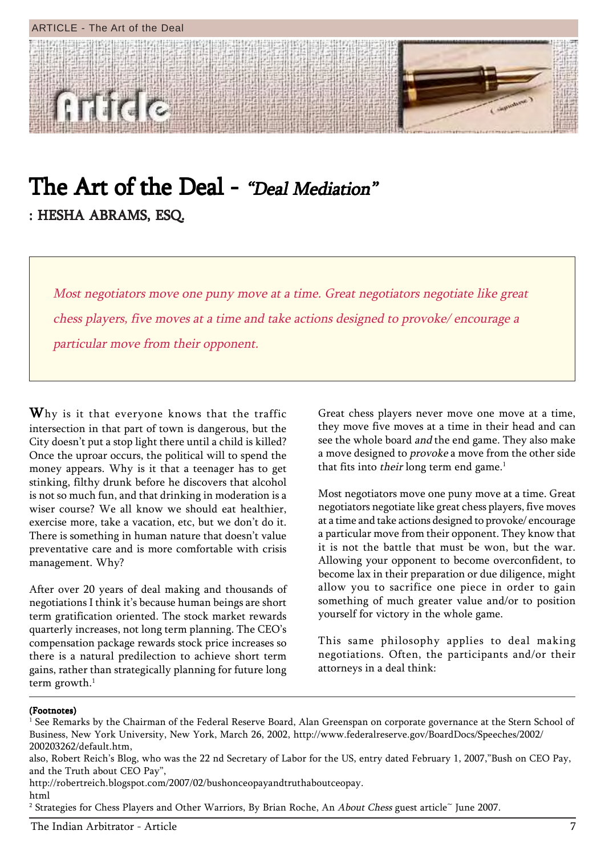

## The Art of the Deal - "Deal Mediation"

: HESHA ABRAMS, ESQ.

Most negotiators move one puny move at a time. Great negotiators negotiate like great chess players, five moves at a time and take actions designed to provoke/ encourage a particular move from their opponent.

 $W<sub>hy</sub>$  is it that everyone knows that the traffic intersection in that part of town is dangerous, but the City doesn't put a stop light there until a child is killed? Once the uproar occurs, the political will to spend the money appears. Why is it that a teenager has to get stinking, filthy drunk before he discovers that alcohol is not so much fun, and that drinking in moderation is a wiser course? We all know we should eat healthier, exercise more, take a vacation, etc, but we don't do it. There is something in human nature that doesn't value preventative care and is more comfortable with crisis management. Why?

After over 20 years of deal making and thousands of negotiations I think it's because human beings are short term gratification oriented. The stock market rewards quarterly increases, not long term planning. The CEO's compensation package rewards stock price increases so there is a natural predilection to achieve short term gains, rather than strategically planning for future long term growth. $1$ 

Great chess players never move one move at a time, they move five moves at a time in their head and can see the whole board and the end game. They also make a move designed to provoke a move from the other side that fits into their long term end game.<sup>1</sup>

Most negotiators move one puny move at a time. Great negotiators negotiate like great chess players, five moves at a time and take actions designed to provoke/ encourage a particular move from their opponent. They know that it is not the battle that must be won, but the war. Allowing your opponent to become overconfident, to become lax in their preparation or due diligence, might allow you to sacrifice one piece in order to gain something of much greater value and/or to position yourself for victory in the whole game.

This same philosophy applies to deal making negotiations. Often, the participants and/or their attorneys in a deal think:

#### (Footnotes)

- 1 See Remarks by the Chairman of the Federal Reserve Board, Alan Greenspan on corporate governance at the Stern School of Business, New York University, New York, March 26, 2002, http://www.federalreserve.gov/BoardDocs/Speeches/2002/ 200203262/default.htm,
- also, Robert Reich's Blog, who was the 22 nd Secretary of Labor for the US, entry dated February 1, 2007,"Bush on CEO Pay, and the Truth about CEO Pay",

http://robertreich.blogspot.com/2007/02/bushonceopayandtruthaboutceopay.

html

 $^2$  Strategies for Chess Players and Other Warriors, By Brian Roche, An *About Chess* guest article~ June 2007.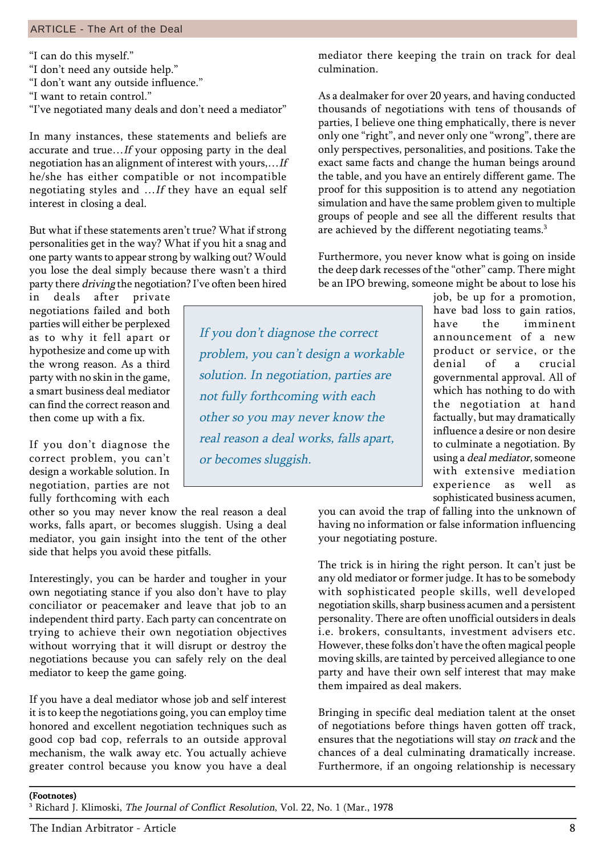#### ARTICLE - The Art of the Deal

"I can do this myself."

"I don't need any outside help."

"I don't want any outside influence."

"I want to retain control."

"I've negotiated many deals and don't need a mediator"

In many instances, these statements and beliefs are accurate and true... $If$  your opposing party in the deal negotiation has an alignment of interest with yours,... If he/she has either compatible or not incompatible negotiating styles and  $...$  If they have an equal self interest in closing a deal.

But what if these statements aren't true? What if strong personalities get in the way? What if you hit a snag and one party wants to appear strong by walking out? Would you lose the deal simply because there wasn't a third party there driving the negotiation? I've often been hired<br>in deals after private

in deals after private negotiations failed and both parties will either be perplexed as to why it fell apart or hypothesize and come up with the wrong reason. As a third party with no skin in the game, a smart business deal mediator can find the correct reason and then come up with a fix.

If you don't diagnose the correct problem, you can't design a workable solution. In negotiation, parties are not fully forthcoming with each

other so you may never know the real reason a deal works, falls apart, or becomes sluggish. Using a deal mediator, you gain insight into the tent of the other side that helps you avoid these pitfalls.

Interestingly, you can be harder and tougher in your own negotiating stance if you also don't have to play conciliator or peacemaker and leave that job to an independent third party. Each party can concentrate on trying to achieve their own negotiation objectives without worrying that it will disrupt or destroy the negotiations because you can safely rely on the deal mediator to keep the game going.

If you have a deal mediator whose job and self interest it is to keep the negotiations going, you can employ time honored and excellent negotiation techniques such as good cop bad cop, referrals to an outside approval mechanism, the walk away etc. You actually achieve greater control because you know you have a deal

If you don't diagnose the correct problem, you can't design a workable solution. In negotiation, parties are not fully forthcoming with each other so you may never know the real reason a deal works, falls apart, or becomes sluggish.

mediator there keeping the train on track for deal culmination.

As a dealmaker for over 20 years, and having conducted thousands of negotiations with tens of thousands of parties, I believe one thing emphatically, there is never only one "right", and never only one "wrong", there are only perspectives, personalities, and positions. Take the exact same facts and change the human beings around the table, and you have an entirely different game. The proof for this supposition is to attend any negotiation simulation and have the same problem given to multiple groups of people and see all the different results that are achieved by the different negotiating teams.<sup>3</sup>

Furthermore, you never know what is going on inside the deep dark recesses of the "other" camp. There might be an IPO brewing, someone might be about to lose his

job, be up for a promotion, have bad loss to gain ratios, have the imminent announcement of a new product or service, or the denial of a crucial governmental approval. All of which has nothing to do with the negotiation at hand factually, but may dramatically influence a desire or non desire to culminate a negotiation. By using a deal mediator, someone with extensive mediation experience as well as sophisticated business acumen,

you can avoid the trap of falling into the unknown of having no information or false information influencing your negotiating posture.

The trick is in hiring the right person. It can't just be any old mediator or former judge. It has to be somebody with sophisticated people skills, well developed negotiation skills, sharp business acumen and a persistent personality. There are often unofficial outsiders in deals i.e. brokers, consultants, investment advisers etc. However, these folks don't have the often magical people moving skills, are tainted by perceived allegiance to one party and have their own self interest that may make them impaired as deal makers.

Bringing in specific deal mediation talent at the onset of negotiations before things haven gotten off track, ensures that the negotiations will stay on track and the chances of a deal culminating dramatically increase. Furthermore, if an ongoing relationship is necessary

#### (Footnotes)

3 Richard J. Klimoski, The Journal of Conflict Resolution, Vol. 22, No. 1 (Mar., 1978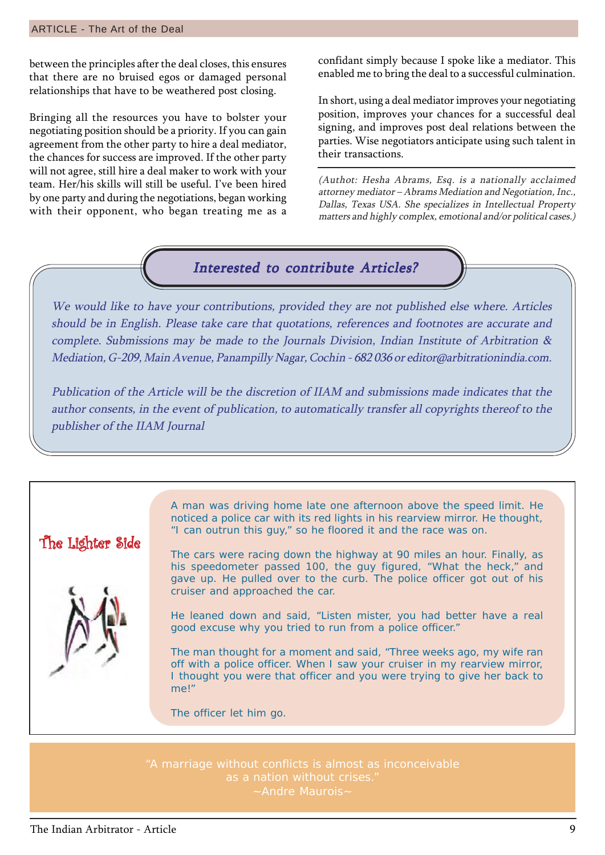#### ARTICLE - The Art of the Deal

between the principles after the deal closes, this ensures that there are no bruised egos or damaged personal relationships that have to be weathered post closing.

Bringing all the resources you have to bolster your negotiating position should be a priority. If you can gain agreement from the other party to hire a deal mediator, the chances for success are improved. If the other party will not agree, still hire a deal maker to work with your team. Her/his skills will still be useful. I've been hired by one party and during the negotiations, began working with their opponent, who began treating me as a

confidant simply because I spoke like a mediator. This enabled me to bring the deal to a successful culmination.

In short, using a deal mediator improves your negotiating position, improves your chances for a successful deal signing, and improves post deal relations between the parties. Wise negotiators anticipate using such talent in their transactions.

(Authot: Hesha Abrams, Esq. is a nationally acclaimed attorney mediator - Abrams Mediation and Negotiation, Inc., Dallas, Texas USA. She specializes in Intellectual Property matters and highly complex, emotional and/or political cases.)

### Interested to contribute Articles?

We would like to have your contributions, provided they are not published else where. Articles should be in English. Please take care that quotations, references and footnotes are accurate and complete. Submissions may be made to the Journals Division, Indian Institute of Arbitration & Mediation, G-209, Main Avenue, Panampilly Nagar, Cochin - 682 036 or editor@arbitrationindia.com.

Publication of the Article will be the discretion of IIAM and submissions made indicates that the author consents, in the event of publication, to automatically transfer all copyrights thereof to the publisher of the IIAM Journal



~Andre Maurois~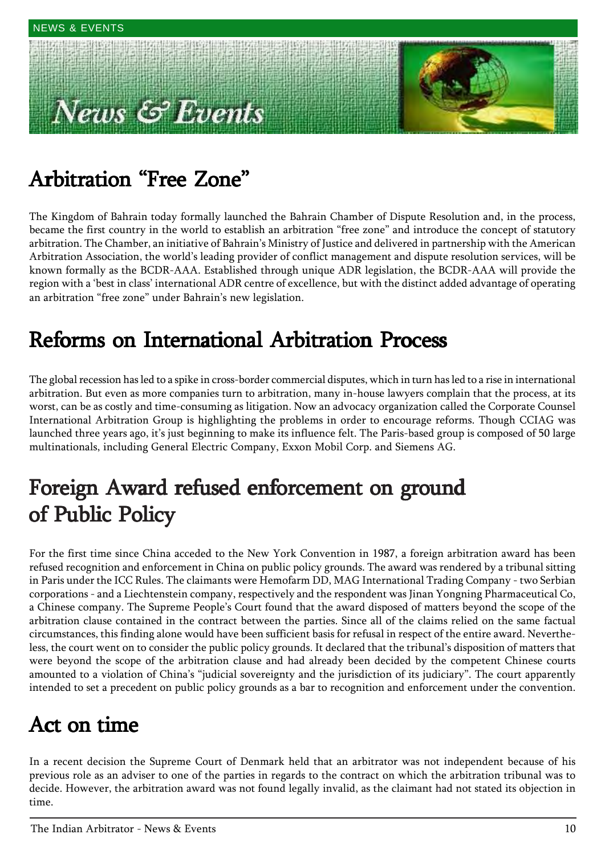# $\mathit{ws} \otimes \mathit{Events}$



The Kingdom of Bahrain today formally launched the Bahrain Chamber of Dispute Resolution and, in the process, became the first country in the world to establish an arbitration "free zone" and introduce the concept of statutory arbitration. The Chamber, an initiative of Bahrain's Ministry of Justice and delivered in partnership with the American Arbitration Association, the world's leading provider of conflict management and dispute resolution services, will be known formally as the BCDR-AAA. Established through unique ADR legislation, the BCDR-AAA will provide the region with a 'best in class' international ADR centre of excellence, but with the distinct added advantage of operating an arbitration "free zone" under Bahrain's new legislation.

## Reforms on International Arbitration Process

The global recession has led to a spike in cross-border commercial disputes, which in turn has led to a rise in international arbitration. But even as more companies turn to arbitration, many in-house lawyers complain that the process, at its worst, can be as costly and time-consuming as litigation. Now an advocacy organization called the Corporate Counsel International Arbitration Group is highlighting the problems in order to encourage reforms. Though CCIAG was launched three years ago, it's just beginning to make its influence felt. The Paris-based group is composed of 50 large multinationals, including General Electric Company, Exxon Mobil Corp. and Siemens AG.

## Foreign Award refused enforcement on ground of Public Policy

For the first time since China acceded to the New York Convention in 1987, a foreign arbitration award has been refused recognition and enforcement in China on public policy grounds. The award was rendered by a tribunal sitting in Paris under the ICC Rules. The claimants were Hemofarm DD, MAG International Trading Company - two Serbian corporations - and a Liechtenstein company, respectively and the respondent was Jinan Yongning Pharmaceutical Co, a Chinese company. The Supreme People's Court found that the award disposed of matters beyond the scope of the arbitration clause contained in the contract between the parties. Since all of the claims relied on the same factual circumstances, this finding alone would have been sufficient basis for refusal in respect of the entire award. Nevertheless, the court went on to consider the public policy grounds. It declared that the tribunal's disposition of matters that were beyond the scope of the arbitration clause and had already been decided by the competent Chinese courts amounted to a violation of China's "judicial sovereignty and the jurisdiction of its judiciary". The court apparently intended to set a precedent on public policy grounds as a bar to recognition and enforcement under the convention.

## Act on time

In a recent decision the Supreme Court of Denmark held that an arbitrator was not independent because of his previous role as an adviser to one of the parties in regards to the contract on which the arbitration tribunal was to decide. However, the arbitration award was not found legally invalid, as the claimant had not stated its objection in time.